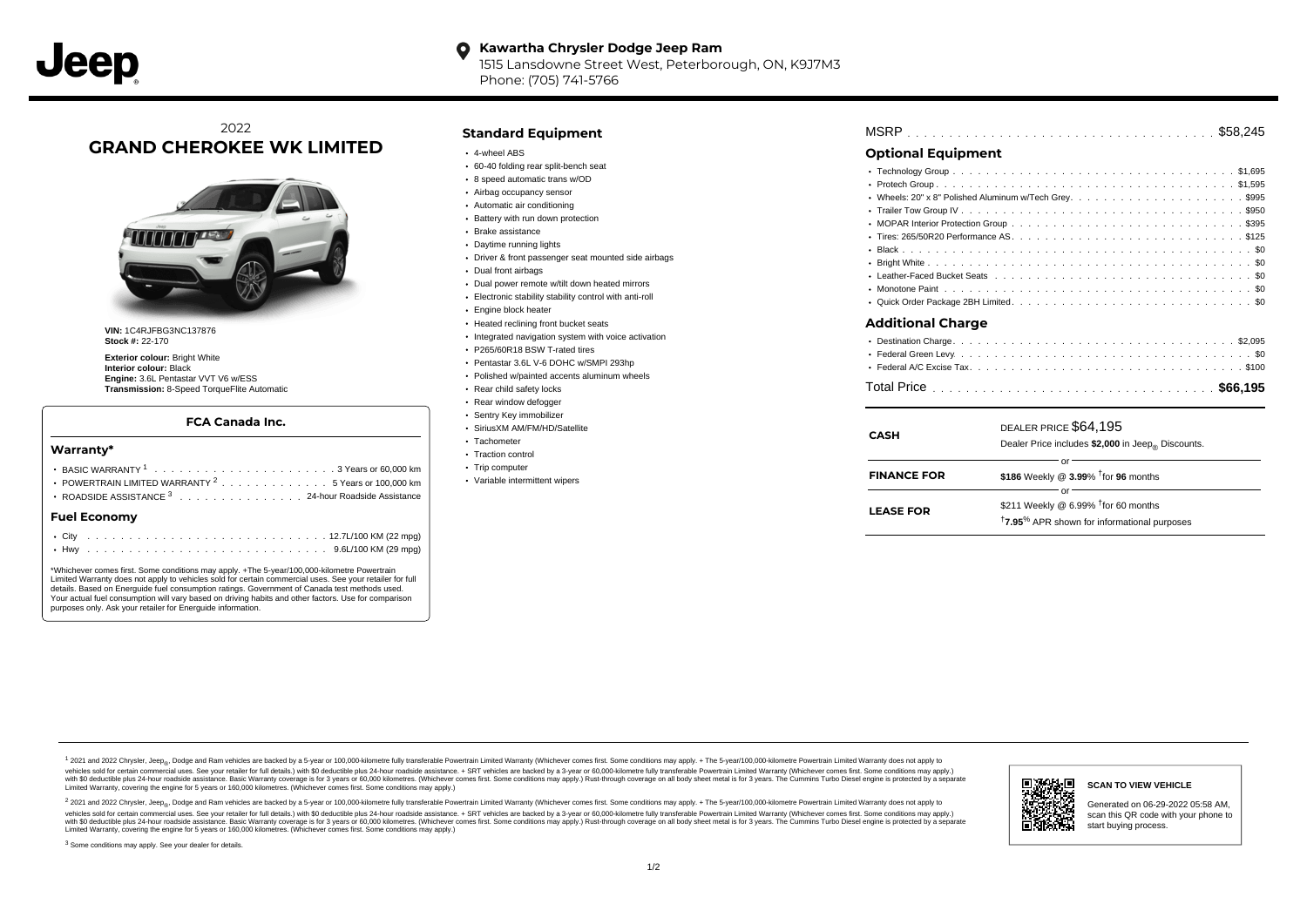### **Kawartha Chrysler Dodge Jeep Ram**  $\bullet$ 1515 Lansdowne Street West, Peterborough, ON, K9J7M3

Phone: (705) 741-5766

# 2022 **GRAND CHEROKEE WK LIMITED**



**VIN:** 1C4RJFBG3NC137876 **Stock #:** 22-170

**Exterior colour:** Bright White **Interior colour:** Black **Engine:** 3.6L Pentastar VVT V6 w/ESS **Transmission:** 8-Speed TorqueFlite Automatic

### **FCA Canada Inc.**

#### **Warranty\***

| <b>Fuel Economy</b> |                                                                |  |  |  |  |  |  |  |
|---------------------|----------------------------------------------------------------|--|--|--|--|--|--|--|
|                     | ROADSIDE ASSISTANCE 3 24-hour Roadside Assistance              |  |  |  |  |  |  |  |
|                     | POWERTRAIN LIMITED WARRANTY <sup>2</sup> 5 Years or 100,000 km |  |  |  |  |  |  |  |
|                     |                                                                |  |  |  |  |  |  |  |
|                     |                                                                |  |  |  |  |  |  |  |

\*Whichever comes first. Some conditions may apply. +The 5-year/100,000-kilometre Powertrain Limited Warranty does not apply to vehicles sold for certain commercial uses. See your retailer for full details. Based on Energuide fuel consumption ratings. Government of Canada test methods used. Your actual fuel consumption will vary based on driving habits and other factors. Use for comparison purposes only. Ask your retailer for Energuide information.

# **Standard Equipment**

- 4-wheel ABS
- 60-40 folding rear split-bench seat
- 8 speed automatic trans w/OD
- Airbag occupancy sensor
- Automatic air conditioning
- Battery with run down protection
- Brake assistance
- Daytime running lights
- Driver & front passenger seat mounted side airbags
- Dual front airbags
- Dual power remote w/tilt down heated mirrors
- Electronic stability stability control with anti-roll
- Engine block heater
- Heated reclining front bucket seats
- Integrated navigation system with voice activation
- P265/60R18 BSW T-rated tires
- Pentastar 3.6L V-6 DOHC w/SMPI 293hp
- Polished w/painted accents aluminum wheels
- Rear child safety locks
- Rear window defogger
- Sentry Key immobilizer
- SiriusXM AM/FM/HD/Satellite
- Tachometer • Traction control
- 
- Trip computer
- Variable intermittent wipers

|  | <b>MSRP</b> |  |  |  |  |  |  |  |  |  |  |  |  |  |  |  |  |  |  |  |  |  |  |  |  |  |  |  |  |  |  |  |  |  |  |
|--|-------------|--|--|--|--|--|--|--|--|--|--|--|--|--|--|--|--|--|--|--|--|--|--|--|--|--|--|--|--|--|--|--|--|--|--|
|--|-------------|--|--|--|--|--|--|--|--|--|--|--|--|--|--|--|--|--|--|--|--|--|--|--|--|--|--|--|--|--|--|--|--|--|--|

## **Optional Equipment**

| Additional Charge |  |
|-------------------|--|
|                   |  |
|                   |  |
|                   |  |

| DEALER PRICE S64 195 |  |
|----------------------|--|

| CASH               | DEALER PRICE \$64,195<br>Dealer Price includes \$2,000 in Jeep <sub>®</sub> Discounts.                                 |
|--------------------|------------------------------------------------------------------------------------------------------------------------|
| <b>FINANCE FOR</b> | \$186 Weekly @ $3.99\%$ <sup>†</sup> for 96 months                                                                     |
| <b>LEASE FOR</b>   | \$211 Weekly @ 6.99% <sup>t</sup> for 60 months<br><sup>†</sup> 7.95 <sup>%</sup> APR shown for informational purposes |

1 2021 and 2022 Chrysler, Jeep<sub>en</sub> Dodge and Ram vehicles are backed by a 5-year or 100,000-kilometre fully transferable Powertrain Limited Warranty (Whichever comes first. Some conditions may apply. + The 5-year/100,000-k vehicles sold for certain commercial uses. See your retailer for full details.) with \$0 deductible plus 24-hour roadside assistance. + SRT vehicles are backed by a 3-year or 60,000-kilometre fully transferable Powertrain L ventals and contract when the contract when the contract you contract when the contract when the control of the set of a set of a set of a set of 3 years of 60,000 kilometres. Whichever comes first. Some conditions may app Limited Warranty, covering the engine for 5 years or 160,000 kilometres. (Whichever comes first. Some conditions may apply.)

<sup>2</sup> 2021 and 2022 Chrysler, Jeep<sub>®</sub>, Dodge and Ram vehicles are backed by a 5-year or 100,000-kilometre fully transferable Powertrain Limited Warranty (Whichever comes first. Some conditions may apply. + The 5-year/100,000 vehicles sold for certain commercial uses. See your retailer for full details.) with SO deductible plus 24-hour roadside assistance. + SRT vehicles are backed by a 3-year or 60.000-kilometre fully transferable Powertrain L with S0 deductible plus 24-hour roadside assistance. Basic Warranty coverage is for 3 years or 60,000 kilometres. (Whichever comes first. Some conditions may apply.) Rust-through coverage on all body sheet metal is for 3 y



#### **SCAN TO VIEW VEHICLE**

Generated on 06-29-2022 05:58 AM, scan this QR code with your phone to start buying process.

<sup>3</sup> Some conditions may apply. See your dealer for details.